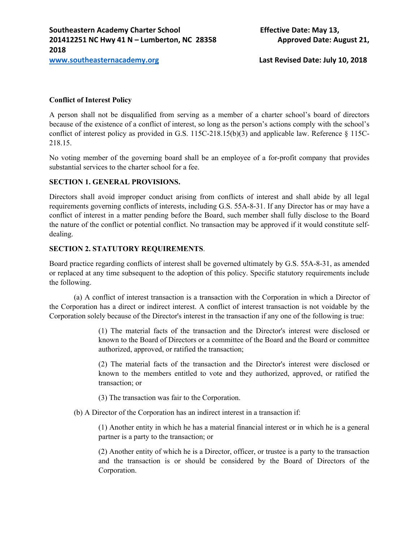**www.southeasternacademy.org Last Revised Date: July 10, 2018**

## **Conflict of Interest Policy**

A person shall not be disqualified from serving as a member of a charter school's board of directors because of the existence of a conflict of interest, so long as the person's actions comply with the school's conflict of interest policy as provided in G.S.  $115C-218.15(b)(3)$  and applicable law. Reference § 115C-218.15.

No voting member of the governing board shall be an employee of a for-profit company that provides substantial services to the charter school for a fee.

#### **SECTION 1. GENERAL PROVISIONS.**

Directors shall avoid improper conduct arising from conflicts of interest and shall abide by all legal requirements governing conflicts of interests, including G.S. 55A-8-31. If any Director has or may have a conflict of interest in a matter pending before the Board, such member shall fully disclose to the Board the nature of the conflict or potential conflict. No transaction may be approved if it would constitute selfdealing.

**SECTION 2. STATUTORY REQUIREMENTS**.<br>Board practice regarding conflicts of interest shall be governed ultimately by G.S. 55A-8-31, as amended or replaced at any time subsequent to the adoption of this policy. Specific statutory requirements include the following.

(a) A conflict of interest transaction is a transaction with the Corporation in which a Director of the Corporation has a direct or indirect interest. A conflict of interest transaction is not voidable by the Corporation solely because of the Director's interest in the transaction if any one of the following is true:

> (1) The material facts of the transaction and the Director's interest were disclosed or known to the Board of Directors or a committee of the Board and the Board or committee authorized, approved, or ratified the transaction;

> (2) The material facts of the transaction and the Director's interest were disclosed or known to the members entitled to vote and they authorized, approved, or ratified the transaction; or

(3) The transaction was fair to the Corporation.

(b) A Director of the Corporation has an indirect interest in a transaction if:

(1) Another entity in which he has a material financial interest or in which he is a general partner is a party to the transaction; or

(2) Another entity of which he is a Director, officer, or trustee is a party to the transaction and the transaction is or should be considered by the Board of Directors of the Corporation.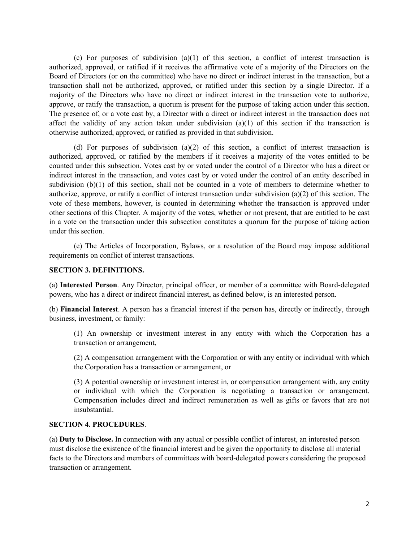(c) For purposes of subdivision  $(a)(1)$  of this section, a conflict of interest transaction is authorized, approved, or ratified if it receives the affirmative vote of a majority of the Directors on the Board of Directors (or on the committee) who have no direct or indirect interest in the transaction, but a transaction shall not be authorized, approved, or ratified under this section by a single Director. If a majority of the Directors who have no direct or indirect interest in the transaction vote to authorize, approve, or ratify the transaction, a quorum is present for the purpose of taking action under this section. The presence of, or a vote cast by, a Director with a direct or indirect interest in the transaction does not affect the validity of any action taken under subdivision  $(a)(1)$  of this section if the transaction is otherwise authorized, approved, or ratified as provided in that subdivision.

(d) For purposes of subdivision  $(a)(2)$  of this section, a conflict of interest transaction is authorized, approved, or ratified by the members if it receives a majority of the votes entitled to be counted under this subsection. Votes cast by or voted under the control of a Director who has a direct or indirect interest in the transaction, and votes cast by or voted under the control of an entity described in subdivision (b)(1) of this section, shall not be counted in a vote of members to determine whether to authorize, approve, or ratify a conflict of interest transaction under subdivision (a)(2) of this section. The vote of these members, however, is counted in determining whether the transaction is approved under other sections of this Chapter. A majority of the votes, whether or not present, that are entitled to be cast in a vote on the transaction under this subsection constitutes a quorum for the purpose of taking action under this section.

(e) The Articles of Incorporation, Bylaws, or a resolution of the Board may impose additional requirements on conflict of interest transactions.

#### **SECTION 3. DEFINITIONS.**

(a) **Interested Person**. Any Director, principal officer, or member of a committee with Board-delegated powers, who has a direct or indirect financial interest, as defined below, is an interested person.

(b) **Financial Interest**. A person has a financial interest if the person has, directly or indirectly, through business, investment, or family:

(1) An ownership or investment interest in any entity with which the Corporation has a transaction or arrangement,

(2) A compensation arrangement with the Corporation or with any entity or individual with which the Corporation has a transaction or arrangement, or

(3) A potential ownership or investment interest in, or compensation arrangement with, any entity or individual with which the Corporation is negotiating a transaction or arrangement. Compensation includes direct and indirect remuneration as well as gifts or favors that are not insubstantial.

**SECTION 4. PROCEDURES**. (a) **Duty to Disclose.** In connection with any actual or possible conflict of interest, an interested person must disclose the existence of the financial interest and be given the opportunity to disclose all material facts to the Directors and members of committees with board-delegated powers considering the proposed transaction or arrangement.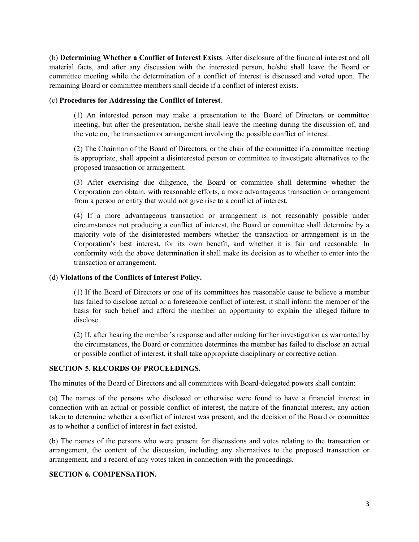(b) **Determining Whether a Conflict of Interest Exists**. After disclosure of the financial interest and all material facts, and after any discussion with the interested person, he/she shall leave the Board or committee meeting while the determination of a conflict of interest is discussed and voted upon. The remaining Board or committee members shall decide if a conflict of interest exists.

(c) **Procedures for Addressing the Conflict of Interest**. (1) An interested person may make a presentation to the Board of Directors or committee meeting, but after the presentation, he/she shall leave the meeting during the discussion of, and the vote on, the transaction or arrangement involving the possible conflict of interest.

(2) The Chairman of the Board of Directors, or the chair of the committee if a committee meeting is appropriate, shall appoint a disinterested person or committee to investigate alternatives to the proposed transaction or arrangement.

(3) After exercising due diligence, the Board or committee shall determine whether the Corporation can obtain, with reasonable efforts, a more advantageous transaction or arrangement from a person or entity that would not give rise to a conflict of interest.

(4) If a more advantageous transaction or arrangement is not reasonably possible under circumstances not producing a conflict of interest, the Board or committee shall determine by a majority vote of the disinterested members whether the transaction or arrangement is in the Corporation's best interest, for its own benefit, and whether it is fair and reasonable. In conformity with the above determination it shall make its decision as to whether to enter into the transaction or arrangement.

## (d) **Violations of the Conflicts of Interest Policy.**

(1) If the Board of Directors or one of its committees has reasonable cause to believe a member has failed to disclose actual or a foreseeable conflict of interest, it shall inform the member of the basis for such belief and afford the member an opportunity to explain the alleged failure to disclose.

(2) If, after hearing the member's response and after making further investigation as warranted by the circumstances, the Board or committee determines the member has failed to disclose an actual or possible conflict of interest, it shall take appropriate disciplinary or corrective action.

## **SECTION 5. RECORDS OF PROCEEDINGS.**

The minutes of the Board of Directors and all committees with Board-delegated powers shall contain:

(a) The names of the persons who disclosed or otherwise were found to have a financial interest in connection with an actual or possible conflict of interest, the nature of the financial interest, any action taken to determine whether a conflict of interest was present, and the decision of the Board or committee as to whether a conflict of interest in fact existed.

(b) The names of the persons who were present for discussions and votes relating to the transaction or arrangement, the content of the discussion, including any alternatives to the proposed transaction or arrangement, and a record of any votes taken in connection with the proceedings.

# **SECTION 6. COMPENSATION.**